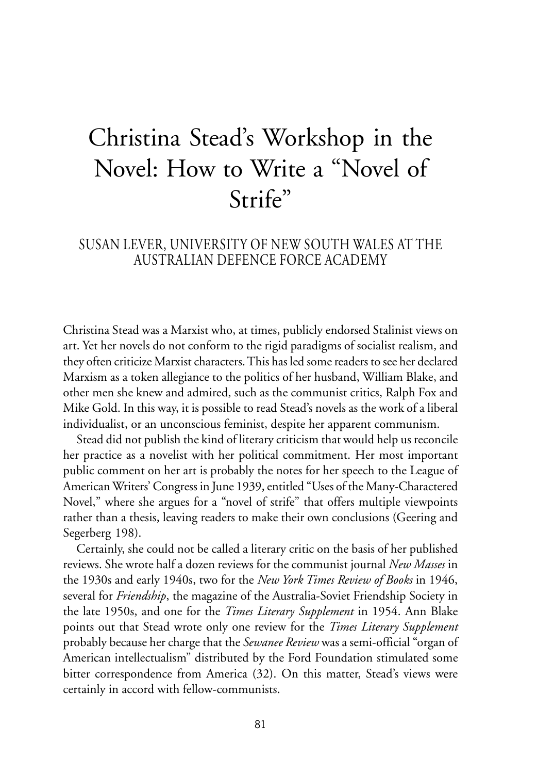## Christina Stead's Workshop in the Novel: How to Write a "Novel of Strife"

## SUSAN LEVER, UNIVERSITY OF NEW SOUTH WALES AT THE AUSTRALIAN DEFENCE FORCE ACADEMY

Christina Stead was a Marxist who, at times, publicly endorsed Stalinist views on art. Yet her novels do not conform to the rigid paradigms of socialist realism, and they often criticize Marxist characters. This has led some readers to see her declared Marxism as a token allegiance to the politics of her husband, William Blake, and other men she knew and admired, such as the communist critics, Ralph Fox and Mike Gold. In this way, it is possible to read Stead's novels as the work of a liberal individualist, or an unconscious feminist, despite her apparent communism.

Stead did not publish the kind of literary criticism that would help us reconcile her practice as a novelist with her political commitment. Her most important public comment on her art is probably the notes for her speech to the League of American Writers' Congress in June 1939, entitled "Uses of the Many-Charactered Novel," where she argues for a "novel of strife" that offers multiple viewpoints rather than a thesis, leaving readers to make their own conclusions (Geering and Segerberg 198).

Certainly, she could not be called a literary critic on the basis of her published reviews. She wrote half a dozen reviews for the communist journal *New Masses* in the 1930s and early 1940s, two for the *New York Times Review of Books* in 1946, several for *Friendship*, the magazine of the Australia-Soviet Friendship Society in the late 1950s, and one for the *Times Literary Supplement* in 1954. Ann Blake points out that Stead wrote only one review for the *Times Literary Supplement* probably because her charge that the *Sewanee Review* was a semi-official "organ of American intellectualism" distributed by the Ford Foundation stimulated some bitter correspondence from America (32). On this matter, Stead's views were certainly in accord with fellow-communists.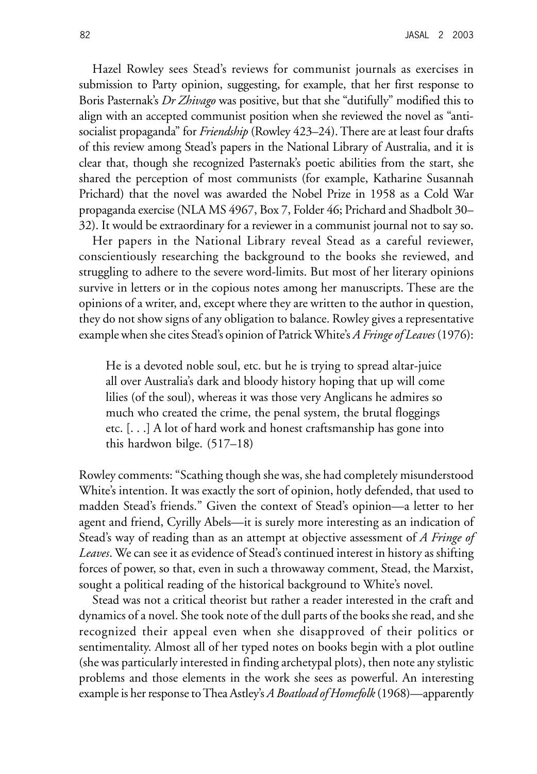Hazel Rowley sees Stead's reviews for communist journals as exercises in submission to Party opinion, suggesting, for example, that her first response to Boris Pasternak's *Dr Zhivago* was positive, but that she "dutifully" modified this to align with an accepted communist position when she reviewed the novel as "antisocialist propaganda" for *Friendship* (Rowley 423–24). There are at least four drafts of this review among Stead's papers in the National Library of Australia, and it is clear that, though she recognized Pasternak's poetic abilities from the start, she shared the perception of most communists (for example, Katharine Susannah Prichard) that the novel was awarded the Nobel Prize in 1958 as a Cold War propaganda exercise (NLA MS 4967, Box 7, Folder 46; Prichard and Shadbolt 30– 32). It would be extraordinary for a reviewer in a communist journal not to say so.

Her papers in the National Library reveal Stead as a careful reviewer, conscientiously researching the background to the books she reviewed, and struggling to adhere to the severe word-limits. But most of her literary opinions survive in letters or in the copious notes among her manuscripts. These are the opinions of a writer, and, except where they are written to the author in question, they do not show signs of any obligation to balance. Rowley gives a representative example when she cites Stead's opinion of Patrick White's *A Fringe of Leaves* (1976):

He is a devoted noble soul, etc. but he is trying to spread altar-juice all over Australia's dark and bloody history hoping that up will come lilies (of the soul), whereas it was those very Anglicans he admires so much who created the crime, the penal system, the brutal floggings etc. [. . .] A lot of hard work and honest craftsmanship has gone into this hardwon bilge. (517–18)

Rowley comments: "Scathing though she was, she had completely misunderstood White's intention. It was exactly the sort of opinion, hotly defended, that used to madden Stead's friends." Given the context of Stead's opinion—a letter to her agent and friend, Cyrilly Abels—it is surely more interesting as an indication of Stead's way of reading than as an attempt at objective assessment of *A Fringe of Leaves*. We can see it as evidence of Stead's continued interest in history as shifting forces of power, so that, even in such a throwaway comment, Stead, the Marxist, sought a political reading of the historical background to White's novel.

Stead was not a critical theorist but rather a reader interested in the craft and dynamics of a novel. She took note of the dull parts of the books she read, and she recognized their appeal even when she disapproved of their politics or sentimentality. Almost all of her typed notes on books begin with a plot outline (she was particularly interested in finding archetypal plots), then note any stylistic problems and those elements in the work she sees as powerful. An interesting example is her response to Thea Astley's *A Boatload of Homefolk* (1968)—apparently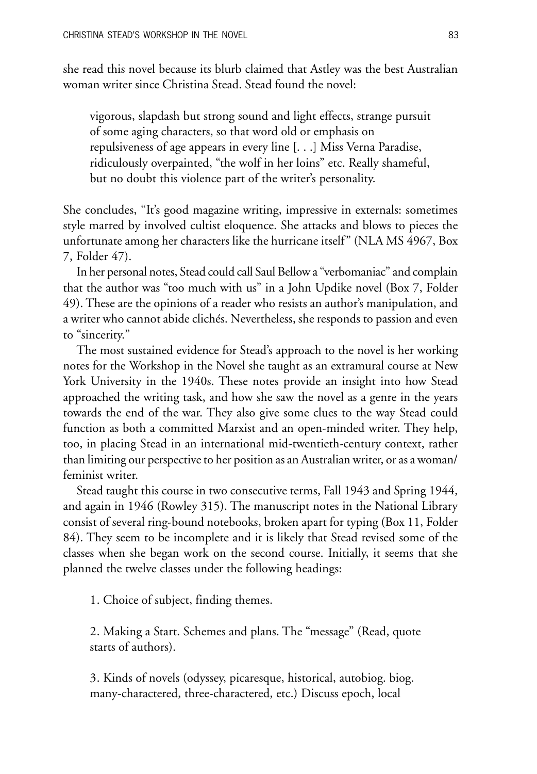she read this novel because its blurb claimed that Astley was the best Australian woman writer since Christina Stead. Stead found the novel:

vigorous, slapdash but strong sound and light effects, strange pursuit of some aging characters, so that word old or emphasis on repulsiveness of age appears in every line [. . .] Miss Verna Paradise, ridiculously overpainted, "the wolf in her loins" etc. Really shameful, but no doubt this violence part of the writer's personality.

She concludes, "It's good magazine writing, impressive in externals: sometimes style marred by involved cultist eloquence. She attacks and blows to pieces the unfortunate among her characters like the hurricane itself" (NLA MS 4967, Box 7, Folder 47).

In her personal notes, Stead could call Saul Bellow a "verbomaniac" and complain that the author was "too much with us" in a John Updike novel (Box 7, Folder 49). These are the opinions of a reader who resists an author's manipulation, and a writer who cannot abide clichés. Nevertheless, she responds to passion and even to "sincerity."

The most sustained evidence for Stead's approach to the novel is her working notes for the Workshop in the Novel she taught as an extramural course at New York University in the 1940s. These notes provide an insight into how Stead approached the writing task, and how she saw the novel as a genre in the years towards the end of the war. They also give some clues to the way Stead could function as both a committed Marxist and an open-minded writer. They help, too, in placing Stead in an international mid-twentieth-century context, rather than limiting our perspective to her position as an Australian writer, or as a woman/ feminist writer.

Stead taught this course in two consecutive terms, Fall 1943 and Spring 1944, and again in 1946 (Rowley 315). The manuscript notes in the National Library consist of several ring-bound notebooks, broken apart for typing (Box 11, Folder 84). They seem to be incomplete and it is likely that Stead revised some of the classes when she began work on the second course. Initially, it seems that she planned the twelve classes under the following headings:

1. Choice of subject, finding themes.

2. Making a Start. Schemes and plans. The "message" (Read, quote starts of authors).

3. Kinds of novels (odyssey, picaresque, historical, autobiog. biog. many-charactered, three-charactered, etc.) Discuss epoch, local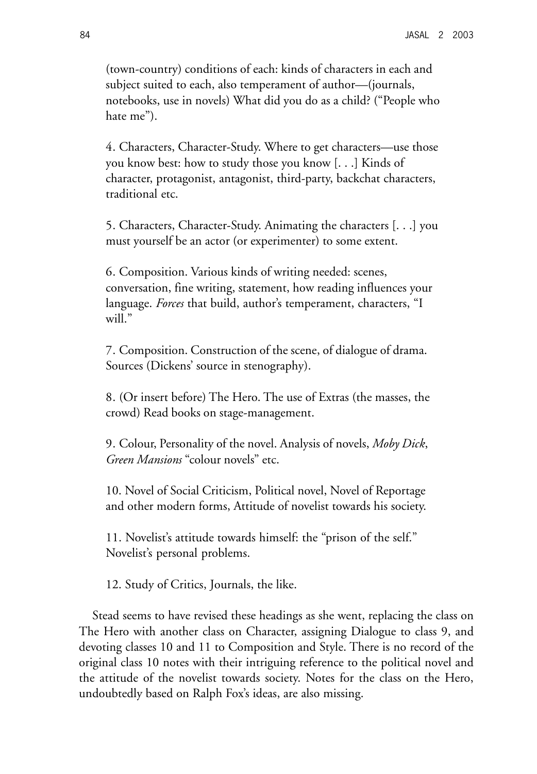(town-country) conditions of each: kinds of characters in each and subject suited to each, also temperament of author—(journals, notebooks, use in novels) What did you do as a child? ("People who hate me").

4. Characters, Character-Study. Where to get characters—use those you know best: how to study those you know [. . .] Kinds of character, protagonist, antagonist, third-party, backchat characters, traditional etc.

5. Characters, Character-Study. Animating the characters [. . .] you must yourself be an actor (or experimenter) to some extent.

6. Composition. Various kinds of writing needed: scenes, conversation, fine writing, statement, how reading influences your language. *Forces* that build, author's temperament, characters, "I will."

7. Composition. Construction of the scene, of dialogue of drama. Sources (Dickens' source in stenography).

8. (Or insert before) The Hero. The use of Extras (the masses, the crowd) Read books on stage-management.

9. Colour, Personality of the novel. Analysis of novels, *Moby Dick*, *Green Mansions* "colour novels" etc.

10. Novel of Social Criticism, Political novel, Novel of Reportage and other modern forms, Attitude of novelist towards his society.

11. Novelist's attitude towards himself: the "prison of the self." Novelist's personal problems.

12. Study of Critics, Journals, the like.

Stead seems to have revised these headings as she went, replacing the class on The Hero with another class on Character, assigning Dialogue to class 9, and devoting classes 10 and 11 to Composition and Style. There is no record of the original class 10 notes with their intriguing reference to the political novel and the attitude of the novelist towards society. Notes for the class on the Hero, undoubtedly based on Ralph Fox's ideas, are also missing.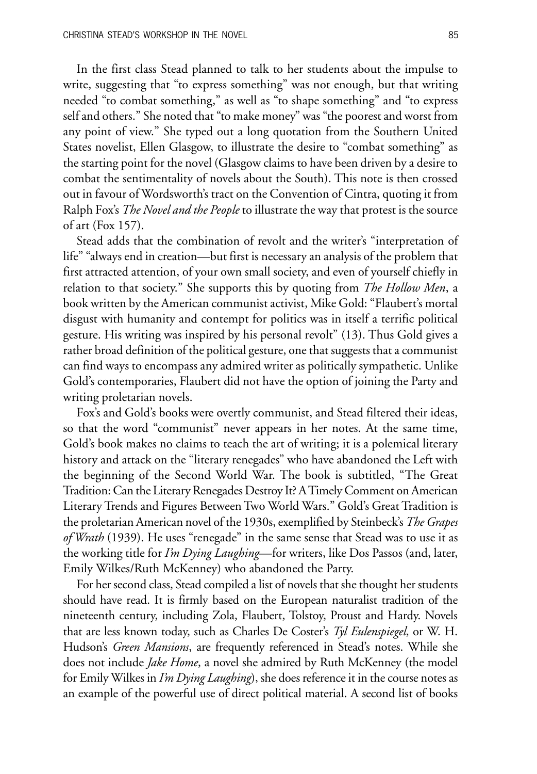In the first class Stead planned to talk to her students about the impulse to write, suggesting that "to express something" was not enough, but that writing needed "to combat something," as well as "to shape something" and "to express self and others." She noted that "to make money" was "the poorest and worst from any point of view." She typed out a long quotation from the Southern United States novelist, Ellen Glasgow, to illustrate the desire to "combat something" as the starting point for the novel (Glasgow claims to have been driven by a desire to combat the sentimentality of novels about the South). This note is then crossed out in favour of Wordsworth's tract on the Convention of Cintra, quoting it from Ralph Fox's *The Novel and the People* to illustrate the way that protest is the source of art (Fox 157).

Stead adds that the combination of revolt and the writer's "interpretation of life" "always end in creation—but first is necessary an analysis of the problem that first attracted attention, of your own small society, and even of yourself chiefly in relation to that society." She supports this by quoting from *The Hollow Men*, a book written by the American communist activist, Mike Gold: "Flaubert's mortal disgust with humanity and contempt for politics was in itself a terrific political gesture. His writing was inspired by his personal revolt" (13). Thus Gold gives a rather broad definition of the political gesture, one that suggests that a communist can find ways to encompass any admired writer as politically sympathetic. Unlike Gold's contemporaries, Flaubert did not have the option of joining the Party and writing proletarian novels.

Fox's and Gold's books were overtly communist, and Stead filtered their ideas, so that the word "communist" never appears in her notes. At the same time, Gold's book makes no claims to teach the art of writing; it is a polemical literary history and attack on the "literary renegades" who have abandoned the Left with the beginning of the Second World War. The book is subtitled, "The Great Tradition: Can the Literary Renegades Destroy It? A Timely Comment on American Literary Trends and Figures Between Two World Wars." Gold's Great Tradition is the proletarian American novel of the 1930s, exemplified by Steinbeck's *The Grapes of Wrath* (1939). He uses "renegade" in the same sense that Stead was to use it as the working title for *I'm Dying Laughing*—for writers, like Dos Passos (and, later, Emily Wilkes/Ruth McKenney) who abandoned the Party.

For her second class, Stead compiled a list of novels that she thought her students should have read. It is firmly based on the European naturalist tradition of the nineteenth century, including Zola, Flaubert, Tolstoy, Proust and Hardy. Novels that are less known today, such as Charles De Coster's *Tyl Eulenspiegel*, or W. H. Hudson's *Green Mansions*, are frequently referenced in Stead's notes. While she does not include *Jake Home*, a novel she admired by Ruth McKenney (the model for Emily Wilkes in *I'm Dying Laughing*), she does reference it in the course notes as an example of the powerful use of direct political material. A second list of books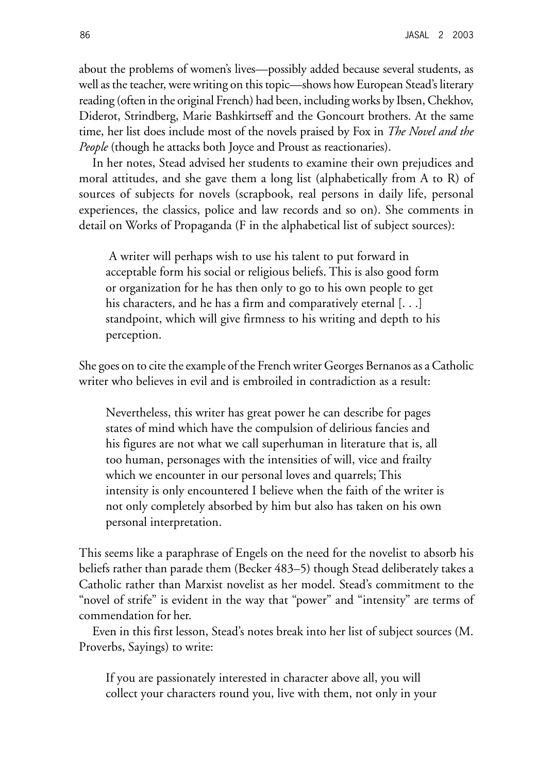about the problems of women's lives—possibly added because several students, as well as the teacher, were writing on this topic—shows how European Stead's literary reading (often in the original French) had been, including works by Ibsen, Chekhov, Diderot, Strindberg, Marie Bashkirtseff and the Goncourt brothers. At the same time, her list does include most of the novels praised by Fox in *The Novel and the People* (though he attacks both Joyce and Proust as reactionaries).

In her notes, Stead advised her students to examine their own prejudices and moral attitudes, and she gave them a long list (alphabetically from A to R) of sources of subjects for novels (scrapbook, real persons in daily life, personal experiences, the classics, police and law records and so on). She comments in detail on Works of Propaganda (F in the alphabetical list of subject sources):

 A writer will perhaps wish to use his talent to put forward in acceptable form his social or religious beliefs. This is also good form or organization for he has then only to go to his own people to get his characters, and he has a firm and comparatively eternal [. . .] standpoint, which will give firmness to his writing and depth to his perception.

She goes on to cite the example of the French writer Georges Bernanos as a Catholic writer who believes in evil and is embroiled in contradiction as a result:

Nevertheless, this writer has great power he can describe for pages states of mind which have the compulsion of delirious fancies and his figures are not what we call superhuman in literature that is, all too human, personages with the intensities of will, vice and frailty which we encounter in our personal loves and quarrels; This intensity is only encountered I believe when the faith of the writer is not only completely absorbed by him but also has taken on his own personal interpretation.

This seems like a paraphrase of Engels on the need for the novelist to absorb his beliefs rather than parade them (Becker 483–5) though Stead deliberately takes a Catholic rather than Marxist novelist as her model. Stead's commitment to the "novel of strife" is evident in the way that "power" and "intensity" are terms of commendation for her.

Even in this first lesson, Stead's notes break into her list of subject sources (M. Proverbs, Sayings) to write:

If you are passionately interested in character above all, you will collect your characters round you, live with them, not only in your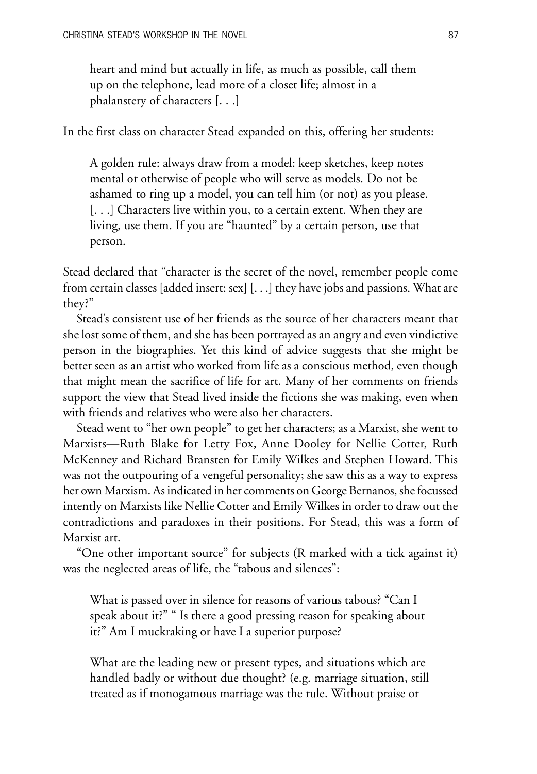heart and mind but actually in life, as much as possible, call them up on the telephone, lead more of a closet life; almost in a phalanstery of characters [. . .]

In the first class on character Stead expanded on this, offering her students:

A golden rule: always draw from a model: keep sketches, keep notes mental or otherwise of people who will serve as models. Do not be ashamed to ring up a model, you can tell him (or not) as you please. [. . .] Characters live within you, to a certain extent. When they are living, use them. If you are "haunted" by a certain person, use that person.

Stead declared that "character is the secret of the novel, remember people come from certain classes [added insert: sex] [. . .] they have jobs and passions. What are they?"

Stead's consistent use of her friends as the source of her characters meant that she lost some of them, and she has been portrayed as an angry and even vindictive person in the biographies. Yet this kind of advice suggests that she might be better seen as an artist who worked from life as a conscious method, even though that might mean the sacrifice of life for art. Many of her comments on friends support the view that Stead lived inside the fictions she was making, even when with friends and relatives who were also her characters.

Stead went to "her own people" to get her characters; as a Marxist, she went to Marxists—Ruth Blake for Letty Fox, Anne Dooley for Nellie Cotter, Ruth McKenney and Richard Bransten for Emily Wilkes and Stephen Howard. This was not the outpouring of a vengeful personality; she saw this as a way to express her own Marxism. As indicated in her comments on George Bernanos, she focussed intently on Marxists like Nellie Cotter and Emily Wilkes in order to draw out the contradictions and paradoxes in their positions. For Stead, this was a form of Marxist art.

"One other important source" for subjects (R marked with a tick against it) was the neglected areas of life, the "tabous and silences":

What is passed over in silence for reasons of various tabous? "Can I speak about it?" " Is there a good pressing reason for speaking about it?" Am I muckraking or have I a superior purpose?

What are the leading new or present types, and situations which are handled badly or without due thought? (e.g. marriage situation, still treated as if monogamous marriage was the rule. Without praise or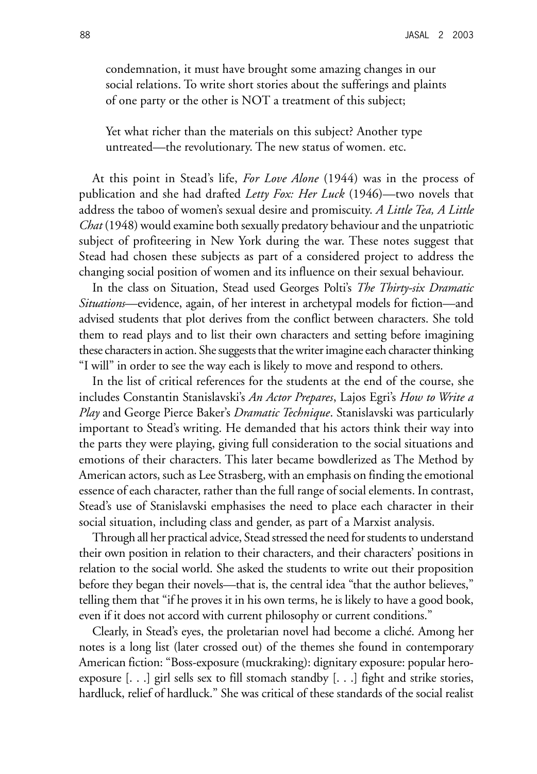condemnation, it must have brought some amazing changes in our social relations. To write short stories about the sufferings and plaints of one party or the other is NOT a treatment of this subject;

Yet what richer than the materials on this subject? Another type untreated—the revolutionary. The new status of women. etc.

At this point in Stead's life, *For Love Alone* (1944) was in the process of publication and she had drafted *Letty Fox: Her Luck* (1946)—two novels that address the taboo of women's sexual desire and promiscuity. *A Little Tea, A Little Chat* (1948) would examine both sexually predatory behaviour and the unpatriotic subject of profiteering in New York during the war. These notes suggest that Stead had chosen these subjects as part of a considered project to address the changing social position of women and its influence on their sexual behaviour.

In the class on Situation, Stead used Georges Polti's *The Thirty-six Dramatic Situations*—evidence, again, of her interest in archetypal models for fiction—and advised students that plot derives from the conflict between characters. She told them to read plays and to list their own characters and setting before imagining these characters in action. She suggests that the writer imagine each character thinking "I will" in order to see the way each is likely to move and respond to others.

In the list of critical references for the students at the end of the course, she includes Constantin Stanislavski's *An Actor Prepares*, Lajos Egri's *How to Write a Play* and George Pierce Baker's *Dramatic Technique*. Stanislavski was particularly important to Stead's writing. He demanded that his actors think their way into the parts they were playing, giving full consideration to the social situations and emotions of their characters. This later became bowdlerized as The Method by American actors, such as Lee Strasberg, with an emphasis on finding the emotional essence of each character, rather than the full range of social elements. In contrast, Stead's use of Stanislavski emphasises the need to place each character in their social situation, including class and gender, as part of a Marxist analysis.

Through all her practical advice, Stead stressed the need for students to understand their own position in relation to their characters, and their characters' positions in relation to the social world. She asked the students to write out their proposition before they began their novels—that is, the central idea "that the author believes," telling them that "if he proves it in his own terms, he is likely to have a good book, even if it does not accord with current philosophy or current conditions."

Clearly, in Stead's eyes, the proletarian novel had become a cliché. Among her notes is a long list (later crossed out) of the themes she found in contemporary American fiction: "Boss-exposure (muckraking): dignitary exposure: popular heroexposure  $[...]$  girl sells sex to fill stomach standby  $[...]$  fight and strike stories, hardluck, relief of hardluck." She was critical of these standards of the social realist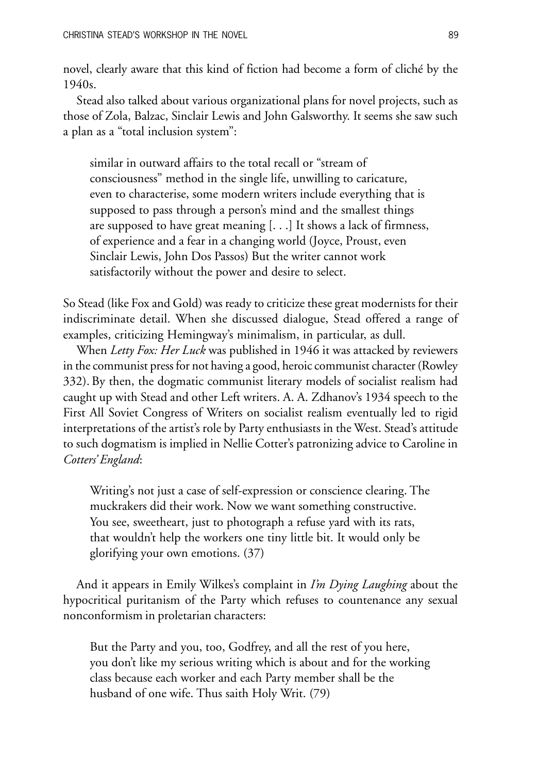novel, clearly aware that this kind of fiction had become a form of cliché by the 1940s.

Stead also talked about various organizational plans for novel projects, such as those of Zola, Balzac, Sinclair Lewis and John Galsworthy. It seems she saw such a plan as a "total inclusion system":

similar in outward affairs to the total recall or "stream of consciousness" method in the single life, unwilling to caricature, even to characterise, some modern writers include everything that is supposed to pass through a person's mind and the smallest things are supposed to have great meaning [. . .] It shows a lack of firmness, of experience and a fear in a changing world (Joyce, Proust, even Sinclair Lewis, John Dos Passos) But the writer cannot work satisfactorily without the power and desire to select.

So Stead (like Fox and Gold) was ready to criticize these great modernists for their indiscriminate detail. When she discussed dialogue, Stead offered a range of examples, criticizing Hemingway's minimalism, in particular, as dull.

When *Letty Fox: Her Luck* was published in 1946 it was attacked by reviewers in the communist press for not having a good, heroic communist character (Rowley 332). By then, the dogmatic communist literary models of socialist realism had caught up with Stead and other Left writers. A. A. Zdhanov's 1934 speech to the First All Soviet Congress of Writers on socialist realism eventually led to rigid interpretations of the artist's role by Party enthusiasts in the West. Stead's attitude to such dogmatism is implied in Nellie Cotter's patronizing advice to Caroline in *Cotters' England*:

Writing's not just a case of self-expression or conscience clearing. The muckrakers did their work. Now we want something constructive. You see, sweetheart, just to photograph a refuse yard with its rats, that wouldn't help the workers one tiny little bit. It would only be glorifying your own emotions. (37)

And it appears in Emily Wilkes's complaint in *I'm Dying Laughing* about the hypocritical puritanism of the Party which refuses to countenance any sexual nonconformism in proletarian characters:

But the Party and you, too, Godfrey, and all the rest of you here, you don't like my serious writing which is about and for the working class because each worker and each Party member shall be the husband of one wife. Thus saith Holy Writ. (79)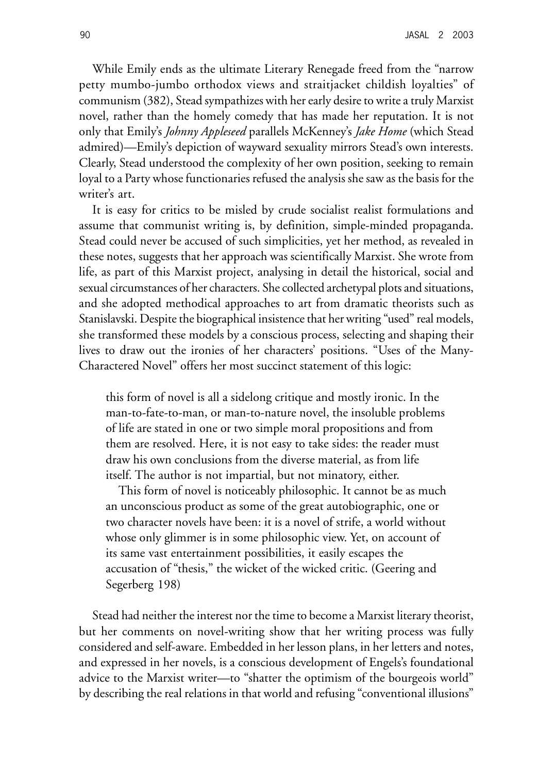While Emily ends as the ultimate Literary Renegade freed from the "narrow petty mumbo-jumbo orthodox views and straitjacket childish loyalties" of communism (382), Stead sympathizes with her early desire to write a truly Marxist novel, rather than the homely comedy that has made her reputation. It is not only that Emily's *Johnny Appleseed* parallels McKenney's *Jake Home* (which Stead admired)—Emily's depiction of wayward sexuality mirrors Stead's own interests. Clearly, Stead understood the complexity of her own position, seeking to remain loyal to a Party whose functionaries refused the analysis she saw as the basis for the writer's art.

It is easy for critics to be misled by crude socialist realist formulations and assume that communist writing is, by definition, simple-minded propaganda. Stead could never be accused of such simplicities, yet her method, as revealed in these notes, suggests that her approach was scientifically Marxist. She wrote from life, as part of this Marxist project, analysing in detail the historical, social and sexual circumstances of her characters. She collected archetypal plots and situations, and she adopted methodical approaches to art from dramatic theorists such as Stanislavski. Despite the biographical insistence that her writing "used" real models, she transformed these models by a conscious process, selecting and shaping their lives to draw out the ironies of her characters' positions. "Uses of the Many-Charactered Novel" offers her most succinct statement of this logic:

this form of novel is all a sidelong critique and mostly ironic. In the man-to-fate-to-man, or man-to-nature novel, the insoluble problems of life are stated in one or two simple moral propositions and from them are resolved. Here, it is not easy to take sides: the reader must draw his own conclusions from the diverse material, as from life itself. The author is not impartial, but not minatory, either.

This form of novel is noticeably philosophic. It cannot be as much an unconscious product as some of the great autobiographic, one or two character novels have been: it is a novel of strife, a world without whose only glimmer is in some philosophic view. Yet, on account of its same vast entertainment possibilities, it easily escapes the accusation of "thesis," the wicket of the wicked critic. (Geering and Segerberg 198)

Stead had neither the interest nor the time to become a Marxist literary theorist, but her comments on novel-writing show that her writing process was fully considered and self-aware. Embedded in her lesson plans, in her letters and notes, and expressed in her novels, is a conscious development of Engels's foundational advice to the Marxist writer—to "shatter the optimism of the bourgeois world" by describing the real relations in that world and refusing "conventional illusions"